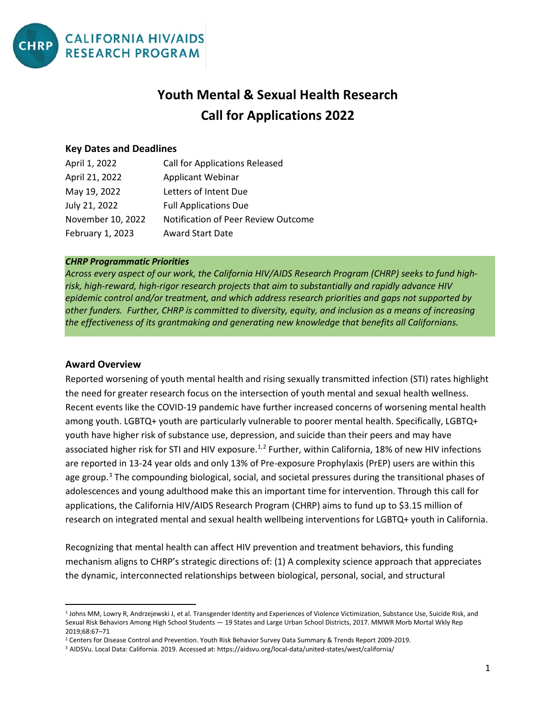

# **Youth Mental & Sexual Health Research Call for Applications 2022**

#### **Key Dates and Deadlines**

| April 1, 2022     | <b>Call for Applications Released</b> |
|-------------------|---------------------------------------|
| April 21, 2022    | <b>Applicant Webinar</b>              |
| May 19, 2022      | Letters of Intent Due                 |
| July 21, 2022     | <b>Full Applications Due</b>          |
| November 10, 2022 | Notification of Peer Review Outcome   |
| February 1, 2023  | <b>Award Start Date</b>               |

#### *CHRP Programmatic Priorities*

*Across every aspect of our work, the California HIV/AIDS Research Program (CHRP) seeks to fund highrisk, high-reward, high-rigor research projects that aim to substantially and rapidly advance HIV epidemic control and/or treatment, and which address research priorities and gaps not supported by other funders. Further, CHRP is committed to diversity, equity, and inclusion as a means of increasing the effectiveness of its grantmaking and generating new knowledge that benefits all Californians.*

#### **Award Overview**

Reported worsening of youth mental health and rising sexually transmitted infection (STI) rates highlight the need for greater research focus on the intersection of youth mental and sexual health wellness. Recent events like the COVID-19 pandemic have further increased concerns of worsening mental health among youth. LGBTQ+ youth are particularly vulnerable to poorer mental health. Specifically, LGBTQ+ youth have higher risk of substance use, depression, and suicide than their peers and may have associated higher risk for STI and HIV exposure.<sup>[1,](#page-0-0)[2](#page-0-1)</sup> Further, within California, 18% of new HIV infections are reported in 13-24 year olds and only 13% of Pre-exposure Prophylaxis (PrEP) users are within this age group.<sup>[3](#page-0-2)</sup> The compounding biological, social, and societal pressures during the transitional phases of adolescences and young adulthood make this an important time for intervention. Through this call for applications, the California HIV/AIDS Research Program (CHRP) aims to fund up to \$3.15 million of research on integrated mental and sexual health wellbeing interventions for LGBTQ+ youth in California.

Recognizing that mental health can affect HIV prevention and treatment behaviors, this funding mechanism aligns to CHRP's strategic directions of: (1) A complexity science approach that appreciates the dynamic, interconnected relationships between biological, personal, social, and structural

<span id="page-0-0"></span> <sup>1</sup> Johns MM, Lowry R, Andrzejewski J, et al. Transgender Identity and Experiences of Violence Victimization, Substance Use, Suicide Risk, and Sexual Risk Behaviors Among High School Students — 19 States and Large Urban School Districts, 2017. MMWR Morb Mortal Wkly Rep 2019;68:67–71

<span id="page-0-1"></span><sup>&</sup>lt;sup>2</sup> Centers for Disease Control and Prevention. Youth Risk Behavior Survey Data Summary & Trends Report 2009-2019.<br><sup>3</sup> AIDSVu. Local Data: California. 2019. Accessed at: https://aidsvu.org/local-data/united-states/west/cal

<span id="page-0-2"></span>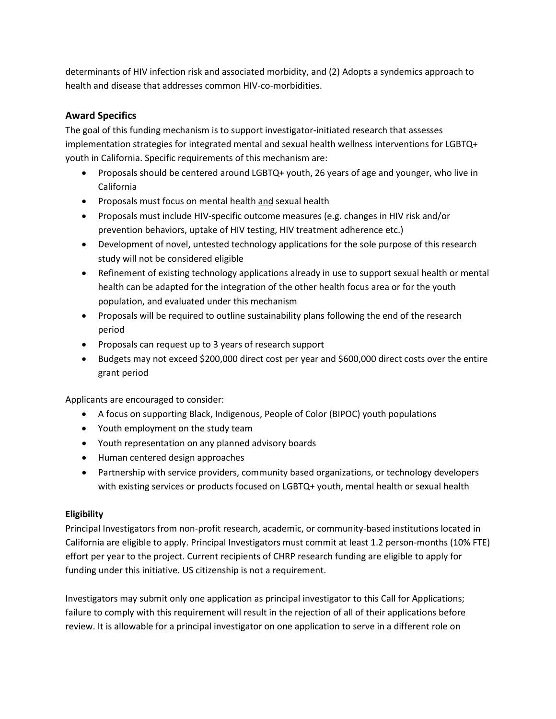determinants of HIV infection risk and associated morbidity, and (2) Adopts a syndemics approach to health and disease that addresses common HIV-co-morbidities.

# **Award Specifics**

The goal of this funding mechanism is to support investigator-initiated research that assesses implementation strategies for integrated mental and sexual health wellness interventions for LGBTQ+ youth in California. Specific requirements of this mechanism are:

- Proposals should be centered around LGBTQ+ youth, 26 years of age and younger, who live in California
- Proposals must focus on mental health and sexual health
- Proposals must include HIV-specific outcome measures (e.g. changes in HIV risk and/or prevention behaviors, uptake of HIV testing, HIV treatment adherence etc.)
- Development of novel, untested technology applications for the sole purpose of this research study will not be considered eligible
- Refinement of existing technology applications already in use to support sexual health or mental health can be adapted for the integration of the other health focus area or for the youth population, and evaluated under this mechanism
- Proposals will be required to outline sustainability plans following the end of the research period
- Proposals can request up to 3 years of research support
- Budgets may not exceed \$200,000 direct cost per year and \$600,000 direct costs over the entire grant period

Applicants are encouraged to consider:

- A focus on supporting Black, Indigenous, People of Color (BIPOC) youth populations
- Youth employment on the study team
- Youth representation on any planned advisory boards
- Human centered design approaches
- Partnership with service providers, community based organizations, or technology developers with existing services or products focused on LGBTQ+ youth, mental health or sexual health

#### **Eligibility**

Principal Investigators from non-profit research, academic, or community-based institutions located in California are eligible to apply. Principal Investigators must commit at least 1.2 person-months (10% FTE) effort per year to the project. Current recipients of CHRP research funding are eligible to apply for funding under this initiative. US citizenship is not a requirement.

Investigators may submit only one application as principal investigator to this Call for Applications; failure to comply with this requirement will result in the rejection of all of their applications before review. It is allowable for a principal investigator on one application to serve in a different role on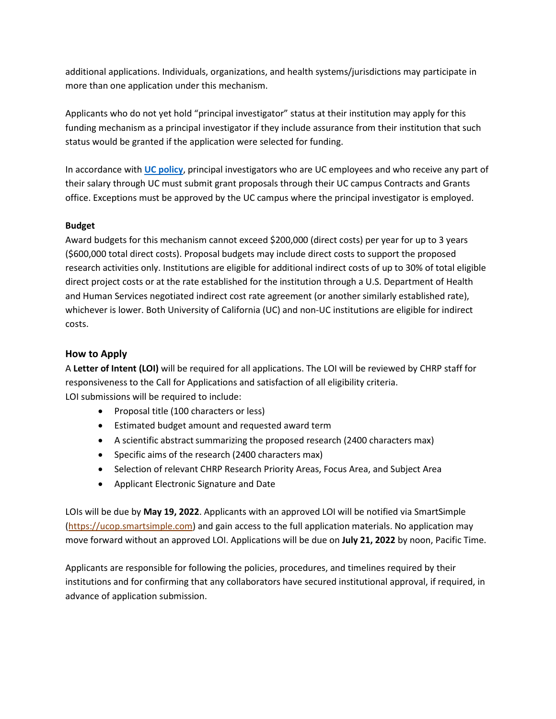additional applications. Individuals, organizations, and health systems/jurisdictions may participate in more than one application under this mechanism.

Applicants who do not yet hold "principal investigator" status at their institution may apply for this funding mechanism as a principal investigator if they include assurance from their institution that such status would be granted if the application were selected for funding.

In accordance with **[UC policy](https://policy.ucop.edu/doc/2500500/ReqSubmitProp-Awar)**, principal investigators who are UC employees and who receive any part of their salary through UC must submit grant proposals through their UC campus Contracts and Grants office. Exceptions must be approved by the UC campus where the principal investigator is employed.

#### **Budget**

Award budgets for this mechanism cannot exceed \$200,000 (direct costs) per year for up to 3 years (\$600,000 total direct costs). Proposal budgets may include direct costs to support the proposed research activities only. Institutions are eligible for additional indirect costs of up to 30% of total eligible direct project costs or at the rate established for the institution through a U.S. Department of Health and Human Services negotiated indirect cost rate agreement (or another similarly established rate), whichever is lower. Both University of California (UC) and non-UC institutions are eligible for indirect costs.

#### **How to Apply**

A **Letter of Intent (LOI)** will be required for all applications. The LOI will be reviewed by CHRP staff for responsiveness to the Call for Applications and satisfaction of all eligibility criteria. LOI submissions will be required to include:

- Proposal title (100 characters or less)
- Estimated budget amount and requested award term
- A scientific abstract summarizing the proposed research (2400 characters max)
- Specific aims of the research (2400 characters max)
- Selection of relevant CHRP Research Priority Areas, Focus Area, and Subject Area
- Applicant Electronic Signature and Date

LOIs will be due by **May 19, 2022**. Applicants with an approved LOI will be notified via SmartSimple [\(https://ucop.smartsimple.com\)](https://ucop.smartsimple.com/) and gain access to the full application materials. No application may move forward without an approved LOI. Applications will be due on **July 21, 2022** by noon, Pacific Time.

Applicants are responsible for following the policies, procedures, and timelines required by their institutions and for confirming that any collaborators have secured institutional approval, if required, in advance of application submission.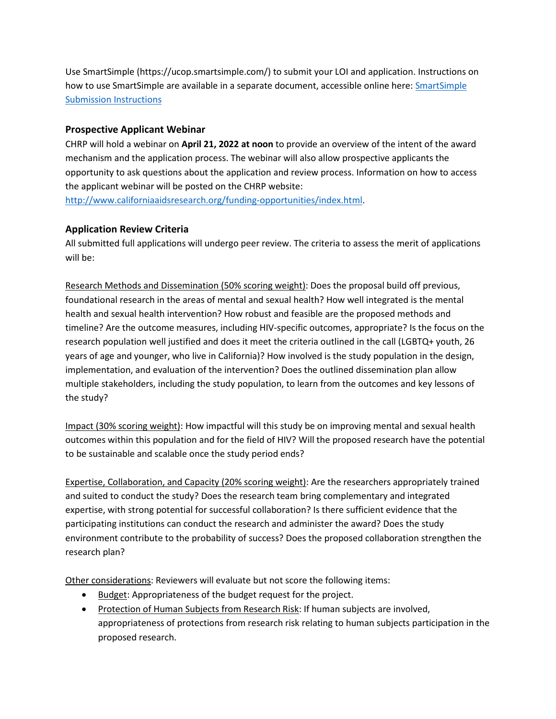Use SmartSimple (https://ucop.smartsimple.com/) to submit your LOI and application. Instructions on how to use SmartSimple are available in a separate document, accessible online here: [SmartSimple](https://ucop.smartsimple.com/files/1614305/f480309/CHRP_SmartSimple_LOI_Instructions_Youth_Mental_Health.pdf)  [Submission Instructions](https://ucop.smartsimple.com/files/1614305/f480309/CHRP_SmartSimple_LOI_Instructions_Youth_Mental_Health.pdf)

## **Prospective Applicant Webinar**

CHRP will hold a webinar on **April 21, 2022 at noon** to provide an overview of the intent of the award mechanism and the application process. The webinar will also allow prospective applicants the opportunity to ask questions about the application and review process. Information on how to access the applicant webinar will be posted on the CHRP website:

[http://www.californiaaidsresearch.org/funding-opportunities/index.html.](http://www.californiaaidsresearch.org/funding-opportunities/index.html)

## **Application Review Criteria**

All submitted full applications will undergo peer review. The criteria to assess the merit of applications will be:

Research Methods and Dissemination (50% scoring weight): Does the proposal build off previous, foundational research in the areas of mental and sexual health? How well integrated is the mental health and sexual health intervention? How robust and feasible are the proposed methods and timeline? Are the outcome measures, including HIV-specific outcomes, appropriate? Is the focus on the research population well justified and does it meet the criteria outlined in the call (LGBTQ+ youth, 26 years of age and younger, who live in California)? How involved is the study population in the design, implementation, and evaluation of the intervention? Does the outlined dissemination plan allow multiple stakeholders, including the study population, to learn from the outcomes and key lessons of the study?

Impact (30% scoring weight): How impactful will this study be on improving mental and sexual health outcomes within this population and for the field of HIV? Will the proposed research have the potential to be sustainable and scalable once the study period ends?

Expertise, Collaboration, and Capacity (20% scoring weight): Are the researchers appropriately trained and suited to conduct the study? Does the research team bring complementary and integrated expertise, with strong potential for successful collaboration? Is there sufficient evidence that the participating institutions can conduct the research and administer the award? Does the study environment contribute to the probability of success? Does the proposed collaboration strengthen the research plan?

Other considerations: Reviewers will evaluate but not score the following items:

- Budget: Appropriateness of the budget request for the project.
- Protection of Human Subjects from Research Risk: If human subjects are involved, appropriateness of protections from research risk relating to human subjects participation in the proposed research.